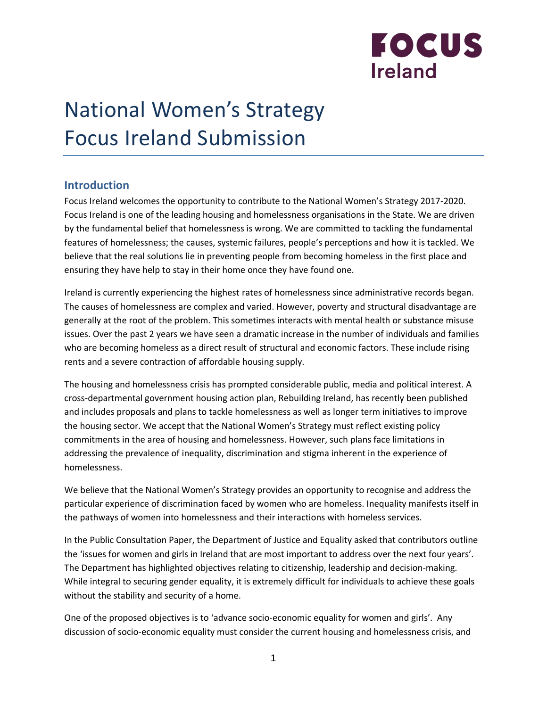

# National Women's Strategy Focus Ireland Submission

## **Introduction**

Focus Ireland welcomes the opportunity to contribute to the National Women's Strategy 2017-2020. Focus Ireland is one of the leading housing and homelessness organisations in the State. We are driven by the fundamental belief that homelessness is wrong. We are committed to tackling the fundamental features of homelessness; the causes, systemic failures, people's perceptions and how it is tackled. We believe that the real solutions lie in preventing people from becoming homeless in the first place and ensuring they have help to stay in their home once they have found one.

Ireland is currently experiencing the highest rates of homelessness since administrative records began. The causes of homelessness are complex and varied. However, poverty and structural disadvantage are generally at the root of the problem. This sometimes interacts with mental health or substance misuse issues. Over the past 2 years we have seen a dramatic increase in the number of individuals and families who are becoming homeless as a direct result of structural and economic factors. These include rising rents and a severe contraction of affordable housing supply.

The housing and homelessness crisis has prompted considerable public, media and political interest. A cross-departmental government housing action plan, Rebuilding Ireland, has recently been published and includes proposals and plans to tackle homelessness as well as longer term initiatives to improve the housing sector. We accept that the National Women's Strategy must reflect existing policy commitments in the area of housing and homelessness. However, such plans face limitations in addressing the prevalence of inequality, discrimination and stigma inherent in the experience of homelessness.

We believe that the National Women's Strategy provides an opportunity to recognise and address the particular experience of discrimination faced by women who are homeless. Inequality manifests itself in the pathways of women into homelessness and their interactions with homeless services.

In the Public Consultation Paper, the Department of Justice and Equality asked that contributors outline the 'issues for women and girls in Ireland that are most important to address over the next four years'. The Department has highlighted objectives relating to citizenship, leadership and decision-making. While integral to securing gender equality, it is extremely difficult for individuals to achieve these goals without the stability and security of a home.

One of the proposed objectives is to 'advance socio-economic equality for women and girls'. Any discussion of socio-economic equality must consider the current housing and homelessness crisis, and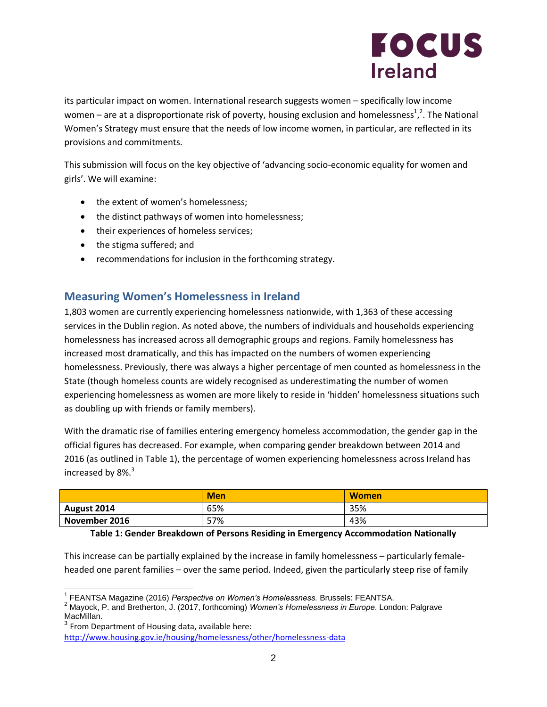

its particular impact on women. International research suggests women – specifically low income women – are at a disproportionate risk of poverty, housing exclusion and homelessness<sup>1</sup>,<sup>2</sup>. The National Women's Strategy must ensure that the needs of low income women, in particular, are reflected in its provisions and commitments.

This submission will focus on the key objective of 'advancing socio-economic equality for women and girls'. We will examine:

- the extent of women's homelessness;
- the distinct pathways of women into homelessness;
- their experiences of homeless services;
- the stigma suffered; and
- recommendations for inclusion in the forthcoming strategy.

## **Measuring Women's Homelessness in Ireland**

1,803 women are currently experiencing homelessness nationwide, with 1,363 of these accessing services in the Dublin region. As noted above, the numbers of individuals and households experiencing homelessness has increased across all demographic groups and regions. Family homelessness has increased most dramatically, and this has impacted on the numbers of women experiencing homelessness. Previously, there was always a higher percentage of men counted as homelessness in the State (though homeless counts are widely recognised as underestimating the number of women experiencing homelessness as women are more likely to reside in 'hidden' homelessness situations such as doubling up with friends or family members).

With the dramatic rise of families entering emergency homeless accommodation, the gender gap in the official figures has decreased. For example, when comparing gender breakdown between 2014 and 2016 (as outlined in Table 1), the percentage of women experiencing homelessness across Ireland has increased by  $8\%$ .<sup>3</sup>

|               | <b>Men</b>           | <b>Women</b>    |
|---------------|----------------------|-----------------|
| August 2014   | 65%                  | 35%             |
| November 2016 | 57%                  | 43%             |
| _ _ . _       | $\bullet$ $-$<br>_ _ | .<br>.<br>-- -- |

#### **Table 1: Gender Breakdown of Persons Residing in Emergency Accommodation Nationally**

This increase can be partially explained by the increase in family homelessness – particularly femaleheaded one parent families – over the same period. Indeed, given the particularly steep rise of family

 $\overline{a}$ 1 FEANTSA Magazine (2016) *Perspective on Women's Homelessness.* Brussels: FEANTSA.

<sup>2</sup> Mayock, P. and Bretherton, J. (2017, forthcoming) *Women's Homelessness in Europe*. London: Palgrave MacMillan.

 $^3$  From Department of Housing data, available here: <http://www.housing.gov.ie/housing/homelessness/other/homelessness-data>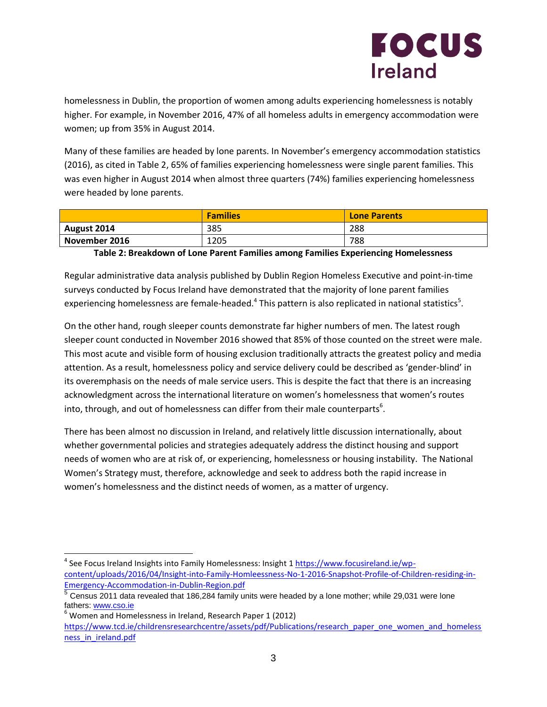

homelessness in Dublin, the proportion of women among adults experiencing homelessness is notably higher. For example, in November 2016, 47% of all homeless adults in emergency accommodation were women; up from 35% in August 2014.

Many of these families are headed by lone parents. In November's emergency accommodation statistics (2016), as cited in Table 2, 65% of families experiencing homelessness were single parent families. This was even higher in August 2014 when almost three quarters (74%) families experiencing homelessness were headed by lone parents.

|               | <b>Families</b> | <b>Lone Parents</b> |
|---------------|-----------------|---------------------|
| August 2014   | 385             | 288                 |
| November 2016 | 1205            | 788                 |

### **Table 2: Breakdown of Lone Parent Families among Families Experiencing Homelessness**

Regular administrative data analysis published by Dublin Region Homeless Executive and point-in-time surveys conducted by Focus Ireland have demonstrated that the majority of lone parent families experiencing homelessness are female-headed.<sup>4</sup> This pattern is also replicated in national statistics<sup>5</sup>.

On the other hand, rough sleeper counts demonstrate far higher numbers of men. The latest rough sleeper count conducted in November 2016 showed that 85% of those counted on the street were male. This most acute and visible form of housing exclusion traditionally attracts the greatest policy and media attention. As a result, homelessness policy and service delivery could be described as 'gender-blind' in its overemphasis on the needs of male service users. This is despite the fact that there is an increasing acknowledgment across the international literature on women's homelessness that women's routes into, through, and out of homelessness can differ from their male counterparts<sup>6</sup>.

There has been almost no discussion in Ireland, and relatively little discussion internationally, about whether governmental policies and strategies adequately address the distinct housing and support needs of women who are at risk of, or experiencing, homelessness or housing instability. The National Women's Strategy must, therefore, acknowledge and seek to address both the rapid increase in women's homelessness and the distinct needs of women, as a matter of urgency.

<sup>&</sup>lt;sup>4</sup> See Focus Ireland Insights into Family Homelessness: Insight 1 [https://www.focusireland.ie/wp](https://www.focusireland.ie/wp-content/uploads/2016/04/Insight-into-Family-Homleessness-No-1-2016-Snapshot-Profile-of-Children-residing-in-Emergency-Accommodation-in-Dublin-Region.pdf)[content/uploads/2016/04/Insight-into-Family-Homleessness-No-1-2016-Snapshot-Profile-of-Children-residing-in-](https://www.focusireland.ie/wp-content/uploads/2016/04/Insight-into-Family-Homleessness-No-1-2016-Snapshot-Profile-of-Children-residing-in-Emergency-Accommodation-in-Dublin-Region.pdf)[Emergency-Accommodation-in-Dublin-Region.pdf](https://www.focusireland.ie/wp-content/uploads/2016/04/Insight-into-Family-Homleessness-No-1-2016-Snapshot-Profile-of-Children-residing-in-Emergency-Accommodation-in-Dublin-Region.pdf)<br>5 Census 2011 data revealed that 100,204 family u

Census 2011 data revealed that 186,284 family units were headed by a lone mother; while 29,031 were lone fathers[: www.cso.ie](http://www.cso.ie/)

 $6$  Women and Homelessness in Ireland, Research Paper 1 (2012)

[https://www.tcd.ie/childrensresearchcentre/assets/pdf/Publications/research\\_paper\\_one\\_women\\_and\\_homeless](https://www.tcd.ie/childrensresearchcentre/assets/pdf/Publications/research_paper_one_women_and_homelessness_in_ireland.pdf) [ness\\_in\\_ireland.pdf](https://www.tcd.ie/childrensresearchcentre/assets/pdf/Publications/research_paper_one_women_and_homelessness_in_ireland.pdf)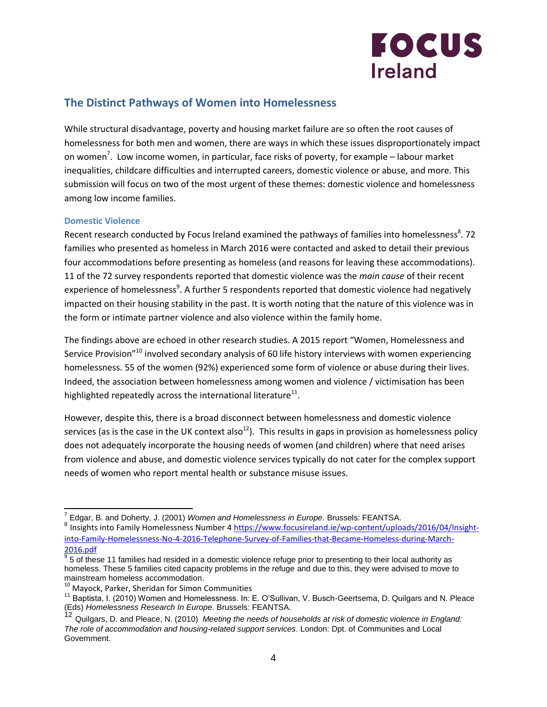

# **The Distinct Pathways of Women into Homelessness**

While structural disadvantage, poverty and housing market failure are so often the root causes of homelessness for both men and women, there are ways in which these issues disproportionately impact on women<sup>7</sup>. Low income women, in particular, face risks of poverty, for example – labour market inequalities, childcare difficulties and interrupted careers, domestic violence or abuse, and more. This submission will focus on two of the most urgent of these themes: domestic violence and homelessness among low income families.

### **Domestic Violence**

Recent research conducted by Focus Ireland examined the pathways of families into homelessness<sup>8</sup>. 72 families who presented as homeless in March 2016 were contacted and asked to detail their previous four accommodations before presenting as homeless (and reasons for leaving these accommodations). 11 of the 72 survey respondents reported that domestic violence was the *main cause* of their recent experience of homelessness<sup>9</sup>. A further 5 respondents reported that domestic violence had negatively impacted on their housing stability in the past. It is worth noting that the nature of this violence was in the form or intimate partner violence and also violence within the family home.

The findings above are echoed in other research studies. A 2015 report "Women, Homelessness and Service Provision"<sup>10</sup> involved secondary analysis of 60 life history interviews with women experiencing homelessness. 55 of the women (92%) experienced some form of violence or abuse during their lives. Indeed, the association between homelessness among women and violence / victimisation has been highlighted repeatedly across the international literature $^{11}$ .

However, despite this, there is a broad disconnect between homelessness and domestic violence services (as is the case in the UK context also<sup>12</sup>). This results in gaps in provision as homelessness policy does not adequately incorporate the housing needs of women (and children) where that need arises from violence and abuse, and domestic violence services typically do not cater for the complex support needs of women who report mental health or substance misuse issues.

 7 Edgar, B. and Doherty, J. (2001) *Women and Homelessness in Europe*. Brussels: FEANTSA.

<sup>&</sup>lt;sup>8</sup> Insights into Family Homelessness Number 4 [https://www.focusireland.ie/wp-content/uploads/2016/04/Insight](https://www.focusireland.ie/wp-content/uploads/2016/04/Insight-into-Family-Homelessness-No-4-2016-Telephone-Survey-of-Families-that-Became-Homeless-during-March-2016.pdf)[into-Family-Homelessness-No-4-2016-Telephone-Survey-of-Families-that-Became-Homeless-during-March-](https://www.focusireland.ie/wp-content/uploads/2016/04/Insight-into-Family-Homelessness-No-4-2016-Telephone-Survey-of-Families-that-Became-Homeless-during-March-2016.pdf)[2016.pdf](https://www.focusireland.ie/wp-content/uploads/2016/04/Insight-into-Family-Homelessness-No-4-2016-Telephone-Survey-of-Families-that-Became-Homeless-during-March-2016.pdf)

 $9$  5 of these 11 families had resided in a domestic violence refuge prior to presenting to their local authority as homeless. These 5 families cited capacity problems in the refuge and due to this, they were advised to move to mainstream homeless accommodation.

 $10^{10}$  Mayock, Parker, Sheridan for Simon Communities

<sup>&</sup>lt;sup>11</sup> Baptista, I. (2010) Women and Homelessness. In: E. O'Sullivan, V. Busch-Geertsema, D. Quilgars and N. Pleace (Eds) *Homelessness Research In Europe.* Brussels: FEANTSA.

<sup>12&</sup>lt;sup>22</sup>, Quilgars, D. and Pleace, N. (2010) *Meeting the needs of households at risk of domestic violence in England: The role of accommodation and housing-related support services*. London: Dpt. of Communities and Local Government.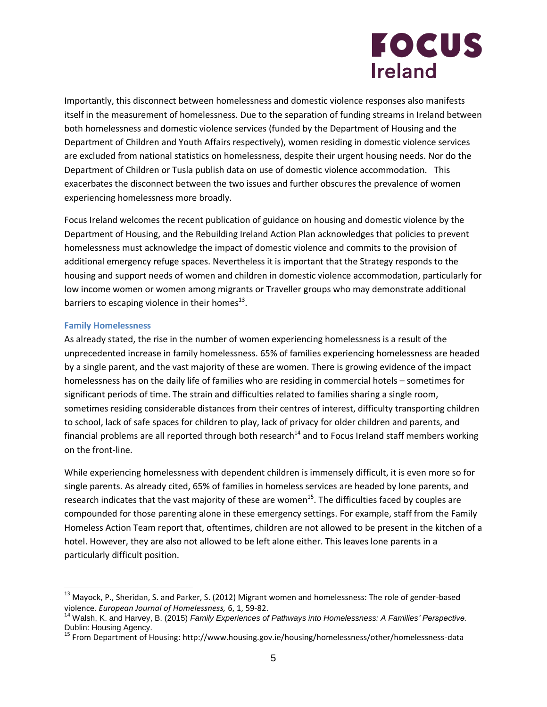# **FOCUS Ireland**

Importantly, this disconnect between homelessness and domestic violence responses also manifests itself in the measurement of homelessness. Due to the separation of funding streams in Ireland between both homelessness and domestic violence services (funded by the Department of Housing and the Department of Children and Youth Affairs respectively), women residing in domestic violence services are excluded from national statistics on homelessness, despite their urgent housing needs. Nor do the Department of Children or Tusla publish data on use of domestic violence accommodation. This exacerbates the disconnect between the two issues and further obscures the prevalence of women experiencing homelessness more broadly.

Focus Ireland welcomes the recent publication of guidance on housing and domestic violence by the Department of Housing, and the Rebuilding Ireland Action Plan acknowledges that policies to prevent homelessness must acknowledge the impact of domestic violence and commits to the provision of additional emergency refuge spaces. Nevertheless it is important that the Strategy responds to the housing and support needs of women and children in domestic violence accommodation, particularly for low income women or women among migrants or Traveller groups who may demonstrate additional barriers to escaping violence in their homes $^{13}$ .

## **Family Homelessness**

As already stated, the rise in the number of women experiencing homelessness is a result of the unprecedented increase in family homelessness. 65% of families experiencing homelessness are headed by a single parent, and the vast majority of these are women. There is growing evidence of the impact homelessness has on the daily life of families who are residing in commercial hotels – sometimes for significant periods of time. The strain and difficulties related to families sharing a single room, sometimes residing considerable distances from their centres of interest, difficulty transporting children to school, lack of safe spaces for children to play, lack of privacy for older children and parents, and financial problems are all reported through both research<sup>14</sup> and to Focus Ireland staff members working on the front-line.

While experiencing homelessness with dependent children is immensely difficult, it is even more so for single parents. As already cited, 65% of families in homeless services are headed by lone parents, and research indicates that the vast majority of these are women<sup>15</sup>. The difficulties faced by couples are compounded for those parenting alone in these emergency settings. For example, staff from the Family Homeless Action Team report that, oftentimes, children are not allowed to be present in the kitchen of a hotel. However, they are also not allowed to be left alone either. This leaves lone parents in a particularly difficult position.

<sup>&</sup>lt;sup>13</sup> Mayock, P., Sheridan, S. and Parker, S. (2012) Migrant women and homelessness: The role of gender-based violence. *European Journal of Homelessness,* 6, 1, 59-82.

<sup>14</sup> Walsh, K. and Harvey, B. (2015) *Family Experiences of Pathways into Homelessness: A Families' Perspective.*  Dublin: Housing Agency.

<sup>15</sup> From Department of Housing: http://www.housing.gov.ie/housing/homelessness/other/homelessness-data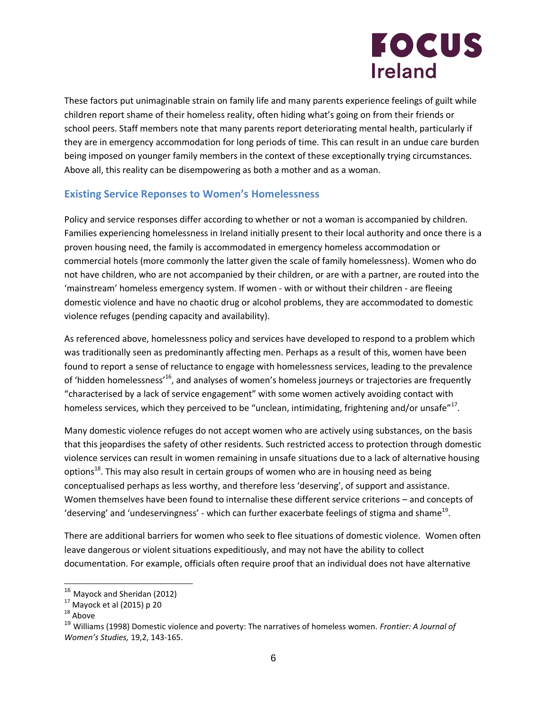

These factors put unimaginable strain on family life and many parents experience feelings of guilt while children report shame of their homeless reality, often hiding what's going on from their friends or school peers. Staff members note that many parents report deteriorating mental health, particularly if they are in emergency accommodation for long periods of time. This can result in an undue care burden being imposed on younger family members in the context of these exceptionally trying circumstances. Above all, this reality can be disempowering as both a mother and as a woman.

## **Existing Service Reponses to Women's Homelessness**

Policy and service responses differ according to whether or not a woman is accompanied by children. Families experiencing homelessness in Ireland initially present to their local authority and once there is a proven housing need, the family is accommodated in emergency homeless accommodation or commercial hotels (more commonly the latter given the scale of family homelessness). Women who do not have children, who are not accompanied by their children, or are with a partner, are routed into the 'mainstream' homeless emergency system. If women - with or without their children - are fleeing domestic violence and have no chaotic drug or alcohol problems, they are accommodated to domestic violence refuges (pending capacity and availability).

As referenced above, homelessness policy and services have developed to respond to a problem which was traditionally seen as predominantly affecting men. Perhaps as a result of this, women have been found to report a sense of reluctance to engage with homelessness services, leading to the prevalence of 'hidden homelessness'<sup>16</sup>, and analyses of women's homeless journeys or trajectories are frequently "characterised by a lack of service engagement" with some women actively avoiding contact with homeless services, which they perceived to be "unclean, intimidating, frightening and/or unsafe"<sup>17</sup>.

Many domestic violence refuges do not accept women who are actively using substances, on the basis that this jeopardises the safety of other residents. Such restricted access to protection through domestic violence services can result in women remaining in unsafe situations due to a lack of alternative housing options<sup>18</sup>. This may also result in certain groups of women who are in housing need as being conceptualised perhaps as less worthy, and therefore less 'deserving', of support and assistance. Women themselves have been found to internalise these different service criterions – and concepts of 'deserving' and 'undeservingness' - which can further exacerbate feelings of stigma and shame<sup>19</sup>.

There are additional barriers for women who seek to flee situations of domestic violence. Women often leave dangerous or violent situations expeditiously, and may not have the ability to collect documentation. For example, officials often require proof that an individual does not have alternative

<sup>&</sup>lt;sup>16</sup> Mayock and Sheridan (2012)

 $17$  Mayock et al (2015) p 20

 $18$  Above

<sup>19</sup> Williams (1998) Domestic violence and poverty: The narratives of homeless women. *Frontier: A Journal of Women's Studies,* 19,2, 143-165.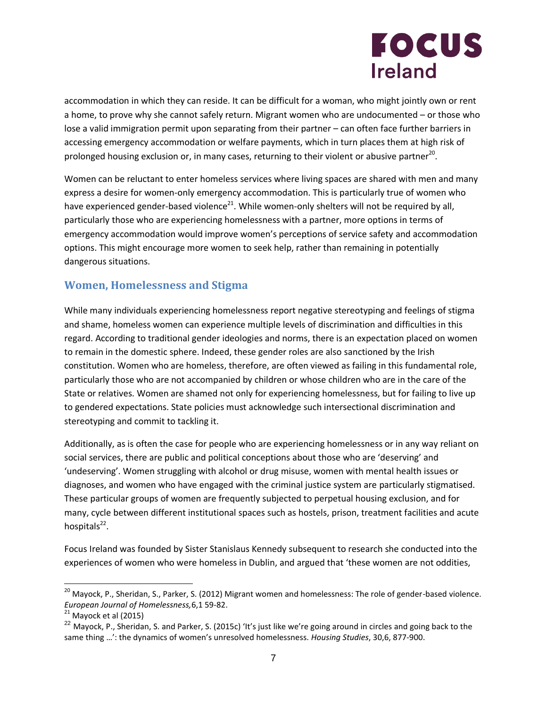# **FOCUS Ireland**

accommodation in which they can reside. It can be difficult for a woman, who might jointly own or rent a home, to prove why she cannot safely return. Migrant women who are undocumented – or those who lose a valid immigration permit upon separating from their partner – can often face further barriers in accessing emergency accommodation or welfare payments, which in turn places them at high risk of prolonged housing exclusion or, in many cases, returning to their violent or abusive partner<sup>20</sup>.

Women can be reluctant to enter homeless services where living spaces are shared with men and many express a desire for women-only emergency accommodation. This is particularly true of women who have experienced gender-based violence<sup>21</sup>. While women-only shelters will not be required by all, particularly those who are experiencing homelessness with a partner, more options in terms of emergency accommodation would improve women's perceptions of service safety and accommodation options. This might encourage more women to seek help, rather than remaining in potentially dangerous situations.

# **Women, Homelessness and Stigma**

While many individuals experiencing homelessness report negative stereotyping and feelings of stigma and shame, homeless women can experience multiple levels of discrimination and difficulties in this regard. According to traditional gender ideologies and norms, there is an expectation placed on women to remain in the domestic sphere. Indeed, these gender roles are also sanctioned by the Irish constitution. Women who are homeless, therefore, are often viewed as failing in this fundamental role, particularly those who are not accompanied by children or whose children who are in the care of the State or relatives. Women are shamed not only for experiencing homelessness, but for failing to live up to gendered expectations. State policies must acknowledge such intersectional discrimination and stereotyping and commit to tackling it.

Additionally, as is often the case for people who are experiencing homelessness or in any way reliant on social services, there are public and political conceptions about those who are 'deserving' and 'undeserving'. Women struggling with alcohol or drug misuse, women with mental health issues or diagnoses, and women who have engaged with the criminal justice system are particularly stigmatised. These particular groups of women are frequently subjected to perpetual housing exclusion, and for many, cycle between different institutional spaces such as hostels, prison, treatment facilities and acute hospitals<sup>22</sup>.

Focus Ireland was founded by Sister Stanislaus Kennedy subsequent to research she conducted into the experiences of women who were homeless in Dublin, and argued that 'these women are not oddities,

 $^{20}$  Mayock, P., Sheridan, S., Parker, S. (2012) Migrant women and homelessness: The role of gender-based violence. *European Journal of Homelessness,*6,1 59-82.

 $21$  Mayock et al (2015)

 $^{22}$  Mayock, P., Sheridan, S. and Parker, S. (2015c) 'It's just like we're going around in circles and going back to the same thing …': the dynamics of women's unresolved homelessness. *Housing Studies*, 30,6, 877-900.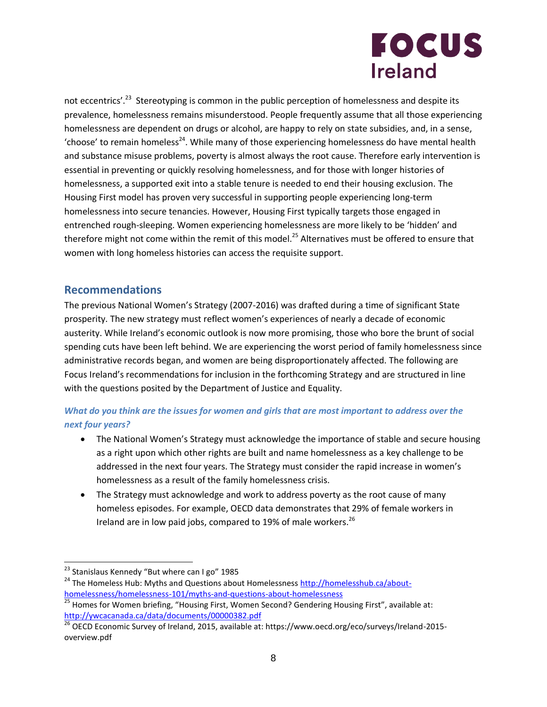# **FOCUS Ireland**

not eccentrics'.<sup>23</sup> Stereotyping is common in the public perception of homelessness and despite its prevalence, homelessness remains misunderstood. People frequently assume that all those experiencing homelessness are dependent on drugs or alcohol, are happy to rely on state subsidies, and, in a sense, 'choose' to remain homeless<sup>24</sup>. While many of those experiencing homelessness do have mental health and substance misuse problems, poverty is almost always the root cause. Therefore early intervention is essential in preventing or quickly resolving homelessness, and for those with longer histories of homelessness, a supported exit into a stable tenure is needed to end their housing exclusion. The Housing First model has proven very successful in supporting people experiencing long-term homelessness into secure tenancies. However, Housing First typically targets those engaged in entrenched rough-sleeping. Women experiencing homelessness are more likely to be 'hidden' and therefore might not come within the remit of this model.<sup>25</sup> Alternatives must be offered to ensure that women with long homeless histories can access the requisite support.

## **Recommendations**

The previous National Women's Strategy (2007-2016) was drafted during a time of significant State prosperity. The new strategy must reflect women's experiences of nearly a decade of economic austerity. While Ireland's economic outlook is now more promising, those who bore the brunt of social spending cuts have been left behind. We are experiencing the worst period of family homelessness since administrative records began, and women are being disproportionately affected. The following are Focus Ireland's recommendations for inclusion in the forthcoming Strategy and are structured in line with the questions posited by the Department of Justice and Equality.

## *What do you think are the issues for women and girls that are most important to address over the next four years?*

- The National Women's Strategy must acknowledge the importance of stable and secure housing as a right upon which other rights are built and name homelessness as a key challenge to be addressed in the next four years. The Strategy must consider the rapid increase in women's homelessness as a result of the family homelessness crisis.
- The Strategy must acknowledge and work to address poverty as the root cause of many homeless episodes. For example, OECD data demonstrates that 29% of female workers in Ireland are in low paid jobs, compared to 19% of male workers.<sup>26</sup>

 <sup>23</sup> Stanislaus Kennedy "But where can I go" 1985

<sup>&</sup>lt;sup>24</sup> The Homeless Hub: Myths and Questions about Homelessness [http://homelesshub.ca/about](http://homelesshub.ca/about-homelessness/homelessness-101/myths-and-questions-about-homelessness)[homelessness/homelessness-101/myths-and-questions-about-homelessness](http://homelesshub.ca/about-homelessness/homelessness-101/myths-and-questions-about-homelessness)

<sup>&</sup>lt;sup>25</sup> Homes for Women briefing, "Housing First, Women Second? Gendering Housing First", available at: <http://ywcacanada.ca/data/documents/00000382.pdf>

 $\frac{26}{26}$  OECD Economic Survey of Ireland, 2015, available at: https://www.oecd.org/eco/surveys/Ireland-2015overview.pdf